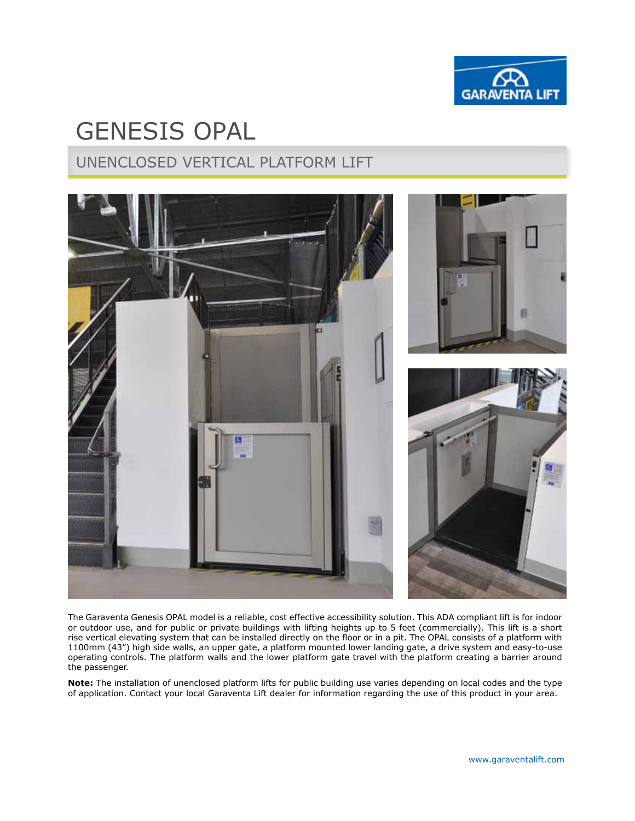

# gENESIS opal

# Unenclosed vertical platform lift



The Garaventa Genesis OPAL model is a reliable, cost effective accessibility solution. This ADA compliant lift is for indoor or outdoor use, and for public or private buildings with lifting heights up to 5 feet (commercially). This lift is a short rise vertical elevating system that can be installed directly on the floor or in a pit. The OPAL consists of a platform with 1100mm (43") high side walls, an upper gate, a platform mounted lower landing gate, a drive system and easy-to-use operating controls. The platform walls and the lower platform gate travel with the platform creating a barrier around the passenger.

**Note:** The installation of unenclosed platform lifts for public building use varies depending on local codes and the type of application. Contact your local Garaventa Lift dealer for information regarding the use of this product in your area.